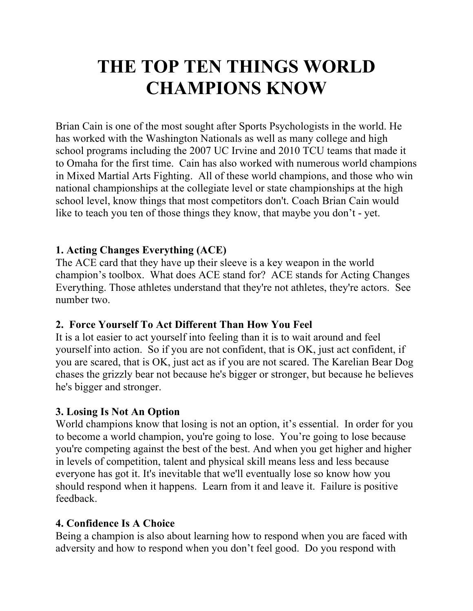# **THE TOP TEN THINGS WORLD CHAMPIONS KNOW**

Brian Cain is one of the most sought after Sports Psychologists in the world. He has worked with the Washington Nationals as well as many college and high school programs including the 2007 UC Irvine and 2010 TCU teams that made it to Omaha for the first time. Cain has also worked with numerous world champions in Mixed Martial Arts Fighting. All of these world champions, and those who win national championships at the collegiate level or state championships at the high school level, know things that most competitors don't. Coach Brian Cain would like to teach you ten of those things they know, that maybe you don't - yet.

## **1. Acting Changes Everything (ACE)**

The ACE card that they have up their sleeve is a key weapon in the world champion's toolbox. What does ACE stand for? ACE stands for Acting Changes Everything. Those athletes understand that they're not athletes, they're actors. See number two.

## **2. Force Yourself To Act Different Than How You Feel**

It is a lot easier to act yourself into feeling than it is to wait around and feel yourself into action. So if you are not confident, that is OK, just act confident, if you are scared, that is OK, just act as if you are not scared. The Karelian Bear Dog chases the grizzly bear not because he's bigger or stronger, but because he believes he's bigger and stronger.

#### **3. Losing Is Not An Option**

World champions know that losing is not an option, it's essential. In order for you to become a world champion, you're going to lose. You're going to lose because you're competing against the best of the best. And when you get higher and higher in levels of competition, talent and physical skill means less and less because everyone has got it. It's inevitable that we'll eventually lose so know how you should respond when it happens. Learn from it and leave it. Failure is positive feedback.

## **4. Confidence Is A Choice**

Being a champion is also about learning how to respond when you are faced with adversity and how to respond when you don't feel good. Do you respond with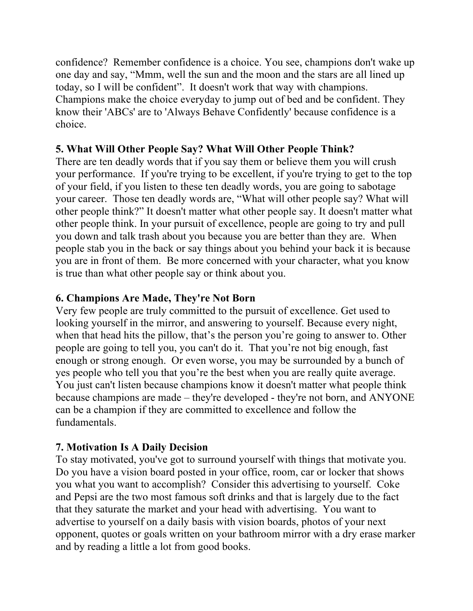confidence? Remember confidence is a choice. You see, champions don't wake up one day and say, "Mmm, well the sun and the moon and the stars are all lined up today, so I will be confident". It doesn't work that way with champions. Champions make the choice everyday to jump out of bed and be confident. They know their 'ABCs' are to 'Always Behave Confidently' because confidence is a choice.

### **5. What Will Other People Say? What Will Other People Think?**

There are ten deadly words that if you say them or believe them you will crush your performance. If you're trying to be excellent, if you're trying to get to the top of your field, if you listen to these ten deadly words, you are going to sabotage your career. Those ten deadly words are, "What will other people say? What will other people think?" It doesn't matter what other people say. It doesn't matter what other people think. In your pursuit of excellence, people are going to try and pull you down and talk trash about you because you are better than they are. When people stab you in the back or say things about you behind your back it is because you are in front of them. Be more concerned with your character, what you know is true than what other people say or think about you.

#### **6. Champions Are Made, They're Not Born**

Very few people are truly committed to the pursuit of excellence. Get used to looking yourself in the mirror, and answering to yourself. Because every night, when that head hits the pillow, that's the person you're going to answer to. Other people are going to tell you, you can't do it. That you're not big enough, fast enough or strong enough. Or even worse, you may be surrounded by a bunch of yes people who tell you that you're the best when you are really quite average. You just can't listen because champions know it doesn't matter what people think because champions are made – they're developed - they're not born, and ANYONE can be a champion if they are committed to excellence and follow the fundamentals.

## **7. Motivation Is A Daily Decision**

To stay motivated, you've got to surround yourself with things that motivate you. Do you have a vision board posted in your office, room, car or locker that shows you what you want to accomplish? Consider this advertising to yourself. Coke and Pepsi are the two most famous soft drinks and that is largely due to the fact that they saturate the market and your head with advertising. You want to advertise to yourself on a daily basis with vision boards, photos of your next opponent, quotes or goals written on your bathroom mirror with a dry erase marker and by reading a little a lot from good books.